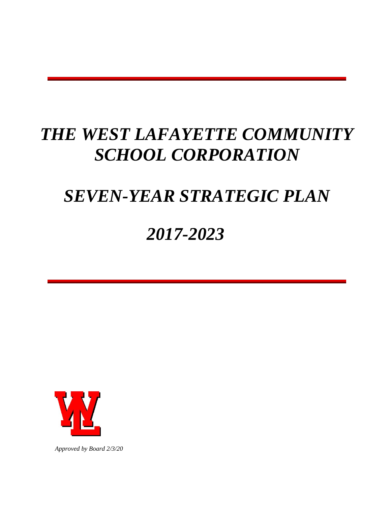# *THE WEST LAFAYETTE COMMUNITY SCHOOL CORPORATION*

# *SEVEN-YEAR STRATEGIC PLAN*

# *2017-2023*



*Approved by Board 2/3/20*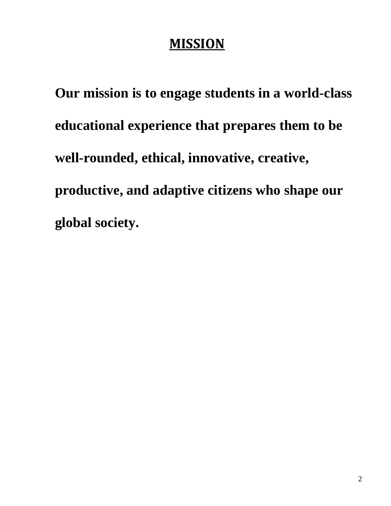## **MISSION**

**Our mission is to engage students in a world-class educational experience that prepares them to be well-rounded, ethical, innovative, creative, productive, and adaptive citizens who shape our global society.**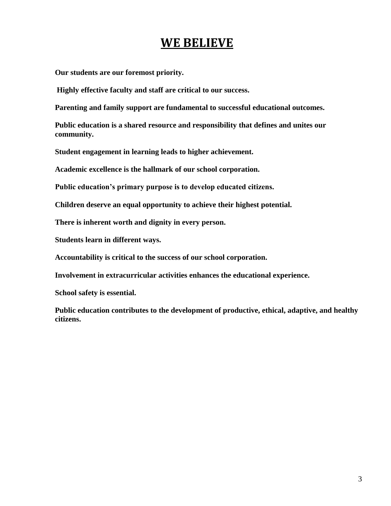## **WE BELIEVE**

**Our students are our foremost priority.** 

**Highly effective faculty and staff are critical to our success.** 

**Parenting and family support are fundamental to successful educational outcomes.** 

**Public education is a shared resource and responsibility that defines and unites our community.** 

**Student engagement in learning leads to higher achievement.** 

**Academic excellence is the hallmark of our school corporation.** 

**Public education's primary purpose is to develop educated citizens.**

**Children deserve an equal opportunity to achieve their highest potential.** 

**There is inherent worth and dignity in every person.** 

**Students learn in different ways.** 

**Accountability is critical to the success of our school corporation.** 

**Involvement in extracurricular activities enhances the educational experience.** 

**School safety is essential.** 

**Public education contributes to the development of productive, ethical, adaptive, and healthy citizens.**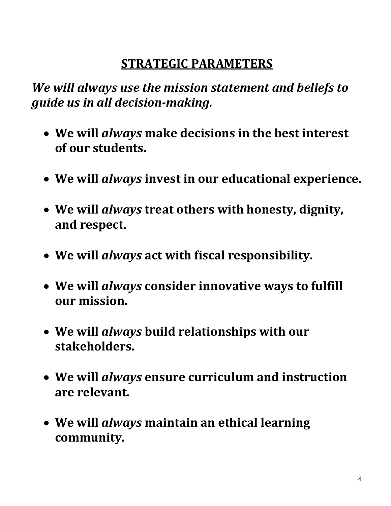## **STRATEGIC PARAMETERS**

*We will always use the mission statement and beliefs to guide us in all decision-making.* 

- **We will** *always* **make decisions in the best interest of our students.**
- **We will** *always* **invest in our educational experience.**
- **We will** *always* **treat others with honesty, dignity, and respect.**
- **We will** *always* **act with fiscal responsibility.**
- **We will** *always* **consider innovative ways to fulfill our mission.**
- **We will** *always* **build relationships with our stakeholders.**
- **We will** *always* **ensure curriculum and instruction are relevant.**
- **We will** *always* **maintain an ethical learning community.**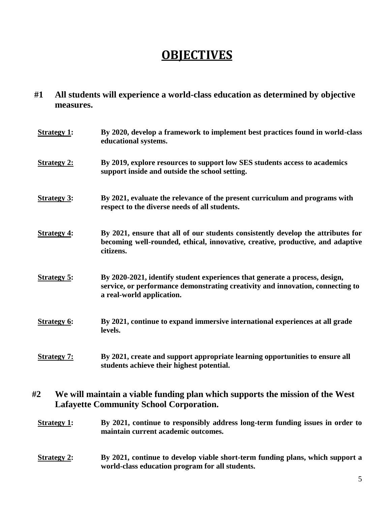## **OBJECTIVES**

**#1 All students will experience a world-class education as determined by objective measures.** 

| <b>Strategy 1:</b> | By 2020, develop a framework to implement best practices found in world-class<br>educational systems.                                                                                      |
|--------------------|--------------------------------------------------------------------------------------------------------------------------------------------------------------------------------------------|
| <b>Strategy 2:</b> | By 2019, explore resources to support low SES students access to academics<br>support inside and outside the school setting.                                                               |
| <b>Strategy 3:</b> | By 2021, evaluate the relevance of the present curriculum and programs with<br>respect to the diverse needs of all students.                                                               |
| <b>Strategy 4:</b> | By 2021, ensure that all of our students consistently develop the attributes for<br>becoming well-rounded, ethical, innovative, creative, productive, and adaptive<br>citizens.            |
| <b>Strategy 5:</b> | By 2020-2021, identify student experiences that generate a process, design,<br>service, or performance demonstrating creativity and innovation, connecting to<br>a real-world application. |
| <b>Strategy 6:</b> | By 2021, continue to expand immersive international experiences at all grade<br>levels.                                                                                                    |
| <b>Strategy 7:</b> | By 2021, create and support appropriate learning opportunities to ensure all<br>students achieve their highest potential.                                                                  |

#### **#2 We will maintain a viable funding plan which supports the mission of the West Lafayette Community School Corporation.**

**Strategy 1:** By 2021, continue to responsibly address long-term funding issues in order to **maintain current academic outcomes.** 

#### **Strategy 2:** By 2021, continue to develop viable short-term funding plans, which support a **world-class education program for all students.**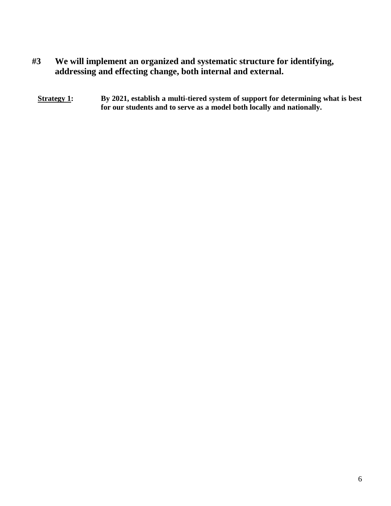- **#3 We will implement an organized and systematic structure for identifying, addressing and effecting change, both internal and external.** 
	- **Strategy 1:** By 2021, establish a multi-tiered system of support for determining what is best **for our students and to serve as a model both locally and nationally.**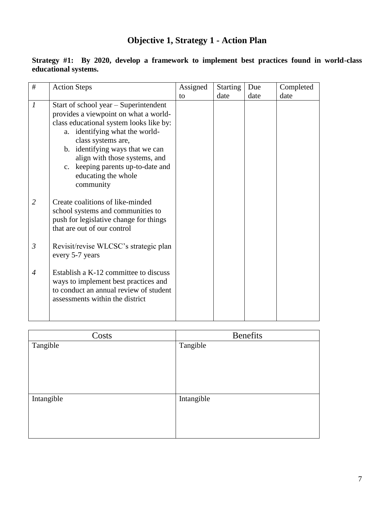## **Objective 1, Strategy 1 - Action Plan**

| #                           | <b>Action Steps</b>                                                                                                                                                                                                                                                                                                            | Assigned | <b>Starting</b> | Due  | Completed |
|-----------------------------|--------------------------------------------------------------------------------------------------------------------------------------------------------------------------------------------------------------------------------------------------------------------------------------------------------------------------------|----------|-----------------|------|-----------|
|                             |                                                                                                                                                                                                                                                                                                                                | to       | date            | date | date      |
| $\mathcal{I}_{\mathcal{I}}$ | Start of school year – Superintendent<br>provides a viewpoint on what a world-<br>class educational system looks like by:<br>a. identifying what the world-<br>class systems are,<br>b. identifying ways that we can<br>align with those systems, and<br>c. keeping parents up-to-date and<br>educating the whole<br>community |          |                 |      |           |
| $\overline{2}$              | Create coalitions of like-minded<br>school systems and communities to<br>push for legislative change for things<br>that are out of our control                                                                                                                                                                                 |          |                 |      |           |
| $\mathfrak{Z}$              | Revisit/revise WLCSC's strategic plan<br>every 5-7 years                                                                                                                                                                                                                                                                       |          |                 |      |           |
| $\overline{4}$              | Establish a K-12 committee to discuss<br>ways to implement best practices and<br>to conduct an annual review of student<br>assessments within the district                                                                                                                                                                     |          |                 |      |           |

#### **Strategy #1: By 2020, develop a framework to implement best practices found in world-class educational systems.**

| Costs      | <b>Benefits</b> |
|------------|-----------------|
| Tangible   | Tangible        |
| Intangible | Intangible      |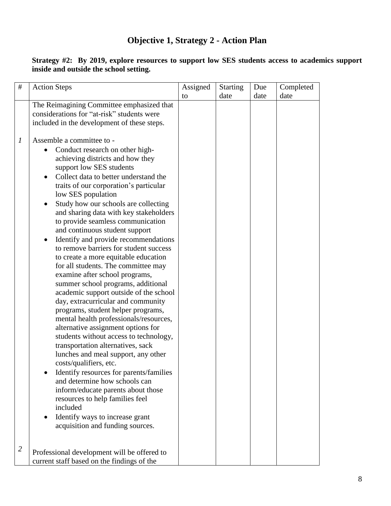## **Objective 1, Strategy 2 - Action Plan**

| $\#$             | <b>Action Steps</b>                                                                                                                                                                                                                                                                                                                                                                                                                                                                                                                                                                                                                                                                                                                                                                                                                                                                                                                                                                                                                                                                                                                                                                                                                                             | Assigned | Starting | Due  | Completed |
|------------------|-----------------------------------------------------------------------------------------------------------------------------------------------------------------------------------------------------------------------------------------------------------------------------------------------------------------------------------------------------------------------------------------------------------------------------------------------------------------------------------------------------------------------------------------------------------------------------------------------------------------------------------------------------------------------------------------------------------------------------------------------------------------------------------------------------------------------------------------------------------------------------------------------------------------------------------------------------------------------------------------------------------------------------------------------------------------------------------------------------------------------------------------------------------------------------------------------------------------------------------------------------------------|----------|----------|------|-----------|
|                  |                                                                                                                                                                                                                                                                                                                                                                                                                                                                                                                                                                                                                                                                                                                                                                                                                                                                                                                                                                                                                                                                                                                                                                                                                                                                 | to       | date     | date | date      |
|                  | The Reimagining Committee emphasized that<br>considerations for "at-risk" students were<br>included in the development of these steps.                                                                                                                                                                                                                                                                                                                                                                                                                                                                                                                                                                                                                                                                                                                                                                                                                                                                                                                                                                                                                                                                                                                          |          |          |      |           |
| $\boldsymbol{l}$ | Assemble a committee to -<br>Conduct research on other high-<br>achieving districts and how they<br>support low SES students<br>Collect data to better understand the<br>$\bullet$<br>traits of our corporation's particular<br>low SES population<br>Study how our schools are collecting<br>$\bullet$<br>and sharing data with key stakeholders<br>to provide seamless communication<br>and continuous student support<br>Identify and provide recommendations<br>to remove barriers for student success<br>to create a more equitable education<br>for all students. The committee may<br>examine after school programs,<br>summer school programs, additional<br>academic support outside of the school<br>day, extracurricular and community<br>programs, student helper programs,<br>mental health professionals/resources,<br>alternative assignment options for<br>students without access to technology,<br>transportation alternatives, sack<br>lunches and meal support, any other<br>costs/qualifiers, etc.<br>Identify resources for parents/families<br>and determine how schools can<br>inform/educate parents about those<br>resources to help families feel<br>included<br>Identify ways to increase grant<br>acquisition and funding sources. |          |          |      |           |
| $\overline{2}$   | Professional development will be offered to<br>current staff based on the findings of the                                                                                                                                                                                                                                                                                                                                                                                                                                                                                                                                                                                                                                                                                                                                                                                                                                                                                                                                                                                                                                                                                                                                                                       |          |          |      |           |

**Strategy #2: By 2019, explore resources to support low SES students access to academics support inside and outside the school setting.**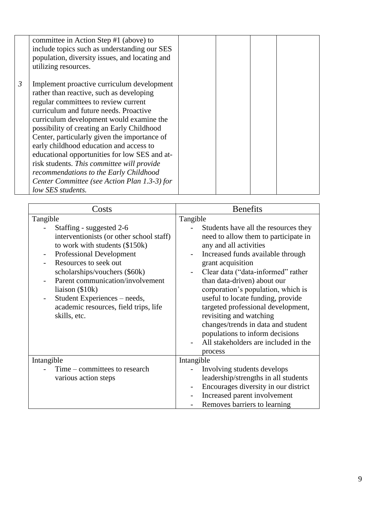|                | committee in Action Step #1 (above) to<br>include topics such as understanding our SES<br>population, diversity issues, and locating and<br>utilizing resources.                                                                                                                                                                                                                                                                                                                                                                                                            |  |  |
|----------------|-----------------------------------------------------------------------------------------------------------------------------------------------------------------------------------------------------------------------------------------------------------------------------------------------------------------------------------------------------------------------------------------------------------------------------------------------------------------------------------------------------------------------------------------------------------------------------|--|--|
| $\mathfrak{Z}$ | Implement proactive curriculum development<br>rather than reactive, such as developing<br>regular committees to review current<br>curriculum and future needs. Proactive<br>curriculum development would examine the<br>possibility of creating an Early Childhood<br>Center, particularly given the importance of<br>early childhood education and access to<br>educational opportunities for low SES and at-<br>risk students. This committee will provide<br>recommendations to the Early Childhood<br>Center Committee (see Action Plan 1.3-3) for<br>low SES students. |  |  |

| Costs                                                                                                                                                                                                                                                                                                                                                 | <b>Benefits</b>                                                                                                                                                                                                                                                                                                                                                                                                                                                                                    |
|-------------------------------------------------------------------------------------------------------------------------------------------------------------------------------------------------------------------------------------------------------------------------------------------------------------------------------------------------------|----------------------------------------------------------------------------------------------------------------------------------------------------------------------------------------------------------------------------------------------------------------------------------------------------------------------------------------------------------------------------------------------------------------------------------------------------------------------------------------------------|
| Tangible                                                                                                                                                                                                                                                                                                                                              | Tangible                                                                                                                                                                                                                                                                                                                                                                                                                                                                                           |
| Staffing - suggested 2-6<br>interventionists (or other school staff)<br>to work with students (\$150k)<br><b>Professional Development</b><br>Resources to seek out<br>scholarships/vouchers (\$60k)<br>Parent communication/involvement<br>liaison $(\$10k)$<br>Student Experiences – needs,<br>academic resources, field trips, life<br>skills, etc. | Students have all the resources they<br>need to allow them to participate in<br>any and all activities<br>Increased funds available through<br>grant acquisition<br>Clear data ("data-informed" rather<br>than data-driven) about our<br>corporation's population, which is<br>useful to locate funding, provide<br>targeted professional development,<br>revisiting and watching<br>changes/trends in data and student<br>populations to inform decisions<br>All stakeholders are included in the |
| Intangible                                                                                                                                                                                                                                                                                                                                            | process<br>Intangible                                                                                                                                                                                                                                                                                                                                                                                                                                                                              |
| Time – committees to research                                                                                                                                                                                                                                                                                                                         | Involving students develops                                                                                                                                                                                                                                                                                                                                                                                                                                                                        |
| various action steps                                                                                                                                                                                                                                                                                                                                  | leadership/strengths in all students                                                                                                                                                                                                                                                                                                                                                                                                                                                               |
|                                                                                                                                                                                                                                                                                                                                                       | Encourages diversity in our district                                                                                                                                                                                                                                                                                                                                                                                                                                                               |
|                                                                                                                                                                                                                                                                                                                                                       | Increased parent involvement                                                                                                                                                                                                                                                                                                                                                                                                                                                                       |
|                                                                                                                                                                                                                                                                                                                                                       | Removes barriers to learning                                                                                                                                                                                                                                                                                                                                                                                                                                                                       |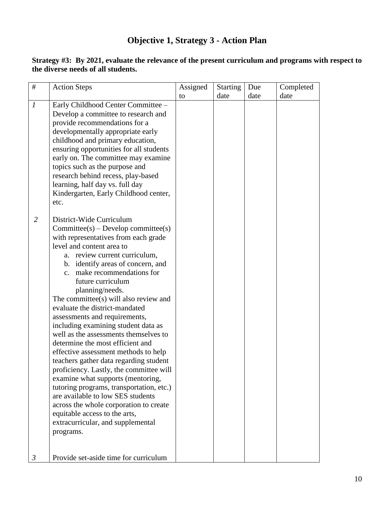## **Objective 1, Strategy 3 - Action Plan**

| $\#$                             | <b>Action Steps</b>                                                                                                                                                                                                                                                                                                                                                                                                                                                                                                                                                                                                                                                                                                                                                                                                                                                                                                                                     | Assigned | <b>Starting</b> | Due  | Completed |
|----------------------------------|---------------------------------------------------------------------------------------------------------------------------------------------------------------------------------------------------------------------------------------------------------------------------------------------------------------------------------------------------------------------------------------------------------------------------------------------------------------------------------------------------------------------------------------------------------------------------------------------------------------------------------------------------------------------------------------------------------------------------------------------------------------------------------------------------------------------------------------------------------------------------------------------------------------------------------------------------------|----------|-----------------|------|-----------|
|                                  |                                                                                                                                                                                                                                                                                                                                                                                                                                                                                                                                                                                                                                                                                                                                                                                                                                                                                                                                                         | to       | date            | date | date      |
| $\boldsymbol{l}$                 | Early Childhood Center Committee -<br>Develop a committee to research and<br>provide recommendations for a<br>developmentally appropriate early<br>childhood and primary education,<br>ensuring opportunities for all students<br>early on. The committee may examine<br>topics such as the purpose and<br>research behind recess, play-based<br>learning, half day vs. full day<br>Kindergarten, Early Childhood center,<br>etc.                                                                                                                                                                                                                                                                                                                                                                                                                                                                                                                       |          |                 |      |           |
| $\overline{2}$<br>$\mathfrak{Z}$ | District-Wide Curriculum<br>$Commitee(s) - Develop committee(s)$<br>with representatives from each grade<br>level and content area to<br>a. review current curriculum,<br>b. identify areas of concern, and<br>make recommendations for<br>$c_{\cdot}$<br>future curriculum<br>planning/needs.<br>The committee(s) will also review and<br>evaluate the district-mandated<br>assessments and requirements,<br>including examining student data as<br>well as the assessments themselves to<br>determine the most efficient and<br>effective assessment methods to help<br>teachers gather data regarding student<br>proficiency. Lastly, the committee will<br>examine what supports (mentoring,<br>tutoring programs, transportation, etc.)<br>are available to low SES students<br>across the whole corporation to create<br>equitable access to the arts,<br>extracurricular, and supplemental<br>programs.<br>Provide set-aside time for curriculum |          |                 |      |           |

**Strategy #3: By 2021, evaluate the relevance of the present curriculum and programs with respect to the diverse needs of all students.**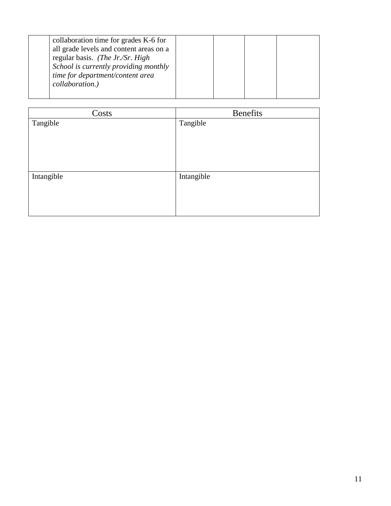| collaboration time for grades K-6 for   |  |  |  |
|-----------------------------------------|--|--|--|
| all grade levels and content areas on a |  |  |  |
| regular basis. (The Jr./Sr. High        |  |  |  |
| School is currently providing monthly   |  |  |  |
| time for department/content area        |  |  |  |
| collaboration.)                         |  |  |  |
|                                         |  |  |  |
|                                         |  |  |  |

| Costs      | <b>Benefits</b> |
|------------|-----------------|
| Tangible   | Tangible        |
| Intangible | Intangible      |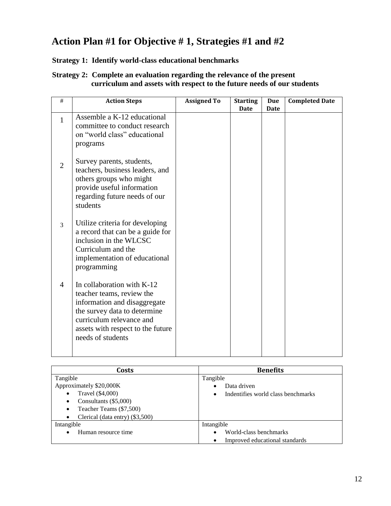## **Action Plan #1 for Objective # 1, Strategies #1 and #2**

#### **Strategy 1: Identify world-class educational benchmarks**

#### **Strategy 2: Complete an evaluation regarding the relevance of the present curriculum and assets with respect to the future needs of our students**

| $\#$           | <b>Action Steps</b>                                                                                                                                                                                           | <b>Assigned To</b> | <b>Starting</b><br>Date | <b>Due</b><br>Date | <b>Completed Date</b> |
|----------------|---------------------------------------------------------------------------------------------------------------------------------------------------------------------------------------------------------------|--------------------|-------------------------|--------------------|-----------------------|
| $\mathbf{1}$   | Assemble a K-12 educational<br>committee to conduct research<br>on "world class" educational<br>programs                                                                                                      |                    |                         |                    |                       |
| $\overline{2}$ | Survey parents, students,<br>teachers, business leaders, and<br>others groups who might<br>provide useful information<br>regarding future needs of our<br>students                                            |                    |                         |                    |                       |
| 3              | Utilize criteria for developing<br>a record that can be a guide for<br>inclusion in the WLCSC<br>Curriculum and the<br>implementation of educational<br>programming                                           |                    |                         |                    |                       |
| $\overline{4}$ | In collaboration with K-12<br>teacher teams, review the<br>information and disaggregate<br>the survey data to determine<br>curriculum relevance and<br>assets with respect to the future<br>needs of students |                    |                         |                    |                       |

| Costs                                        | <b>Benefits</b>                    |
|----------------------------------------------|------------------------------------|
| Tangible                                     | Tangible                           |
| Approximately \$20,000K                      | Data driven                        |
| Travel (\$4,000)<br>٠                        | Indentifies world class benchmarks |
| Consultants (\$5,000)<br>٠                   |                                    |
| Teacher Teams (\$7,500)<br>$\bullet$         |                                    |
| Clerical (data entry) (\$3,500)<br>$\bullet$ |                                    |
| Intangible                                   | Intangible                         |
| Human resource time                          | World-class benchmarks             |
|                                              | Improved educational standards     |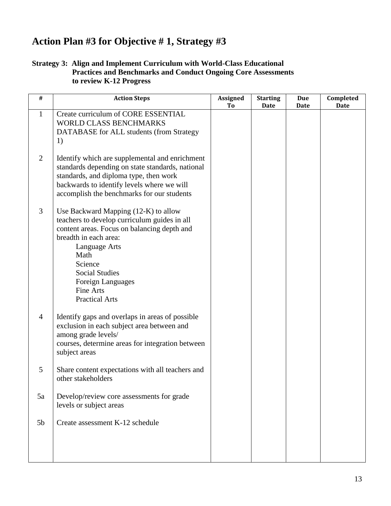## **Action Plan #3 for Objective # 1, Strategy #3**

#### **Strategy 3: Align and Implement Curriculum with World-Class Educational Practices and Benchmarks and Conduct Ongoing Core Assessments to review K-12 Progress**

| $\#$           | <b>Action Steps</b>                                                                                                                                                                                                                                                                         | <b>Assigned</b><br>T <sub>0</sub> | <b>Starting</b><br><b>Date</b> | <b>Due</b><br>Date | Completed<br><b>Date</b> |
|----------------|---------------------------------------------------------------------------------------------------------------------------------------------------------------------------------------------------------------------------------------------------------------------------------------------|-----------------------------------|--------------------------------|--------------------|--------------------------|
| $\mathbf{1}$   | Create curriculum of CORE ESSENTIAL<br><b>WORLD CLASS BENCHMARKS</b><br>DATABASE for ALL students (from Strategy<br>1)                                                                                                                                                                      |                                   |                                |                    |                          |
| $\mathbf{2}$   | Identify which are supplemental and enrichment<br>standards depending on state standards, national<br>standards, and diploma type, then work<br>backwards to identify levels where we will<br>accomplish the benchmarks for our students                                                    |                                   |                                |                    |                          |
| $\mathfrak{Z}$ | Use Backward Mapping (12-K) to allow<br>teachers to develop curriculum guides in all<br>content areas. Focus on balancing depth and<br>breadth in each area:<br>Language Arts<br>Math<br>Science<br><b>Social Studies</b><br>Foreign Languages<br><b>Fine Arts</b><br><b>Practical Arts</b> |                                   |                                |                    |                          |
| $\overline{4}$ | Identify gaps and overlaps in areas of possible<br>exclusion in each subject area between and<br>among grade levels/<br>courses, determine areas for integration between<br>subject areas                                                                                                   |                                   |                                |                    |                          |
| 5              | Share content expectations with all teachers and<br>other stakeholders                                                                                                                                                                                                                      |                                   |                                |                    |                          |
| 5a             | Develop/review core assessments for grade<br>levels or subject areas                                                                                                                                                                                                                        |                                   |                                |                    |                          |
| 5 <sub>b</sub> | Create assessment K-12 schedule                                                                                                                                                                                                                                                             |                                   |                                |                    |                          |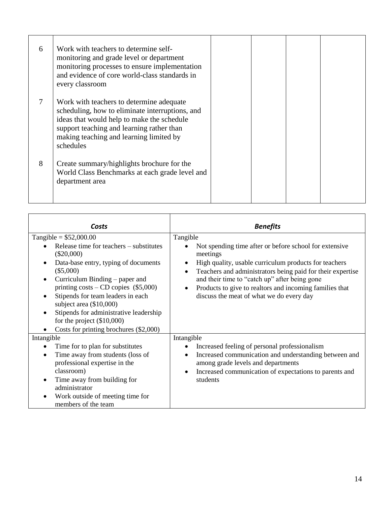| 6 | Work with teachers to determine self-<br>monitoring and grade level or department<br>monitoring processes to ensure implementation<br>and evidence of core world-class standards in |  |  |
|---|-------------------------------------------------------------------------------------------------------------------------------------------------------------------------------------|--|--|
|   | every classroom<br>Work with teachers to determine adequate<br>scheduling, how to eliminate interruptions, and                                                                      |  |  |
|   | ideas that would help to make the schedule<br>support teaching and learning rather than<br>making teaching and learning limited by<br>schedules                                     |  |  |
| 8 | Create summary/highlights brochure for the<br>World Class Benchmarks at each grade level and<br>department area                                                                     |  |  |

| Costs                                                                                                                                                                                                                                                                                                                                                                                                         | <b>Benefits</b>                                                                                                                                                                                                                                                                                                                                                                         |
|---------------------------------------------------------------------------------------------------------------------------------------------------------------------------------------------------------------------------------------------------------------------------------------------------------------------------------------------------------------------------------------------------------------|-----------------------------------------------------------------------------------------------------------------------------------------------------------------------------------------------------------------------------------------------------------------------------------------------------------------------------------------------------------------------------------------|
| Tangible = $$52,000.00$<br>Release time for teachers – substitutes<br>$(\$20,000)$<br>Data-base entry, typing of documents<br>$(\$5,000)$<br>Curriculum Binding – paper and<br>printing $costs - CD$ copies $(\$5,000)$<br>Stipends for team leaders in each<br>subject area $(\$10,000)$<br>Stipends for administrative leadership<br>for the project $(\$10,000)$<br>Costs for printing brochures (\$2,000) | Tangible<br>Not spending time after or before school for extensive<br>meetings<br>High quality, usable curriculum products for teachers<br>$\bullet$<br>Teachers and administrators being paid for their expertise<br>$\bullet$<br>and their time to "catch up" after being gone<br>Products to give to realtors and incoming families that<br>discuss the meat of what we do every day |
| Intangible                                                                                                                                                                                                                                                                                                                                                                                                    | Intangible                                                                                                                                                                                                                                                                                                                                                                              |
| Time for to plan for substitutes<br>Time away from students (loss of<br>professional expertise in the<br>classroom)<br>Time away from building for<br>administrator<br>Work outside of meeting time for<br>members of the team                                                                                                                                                                                | Increased feeling of personal professionalism<br>Increased communication and understanding between and<br>$\bullet$<br>among grade levels and departments<br>Increased communication of expectations to parents and<br>students                                                                                                                                                         |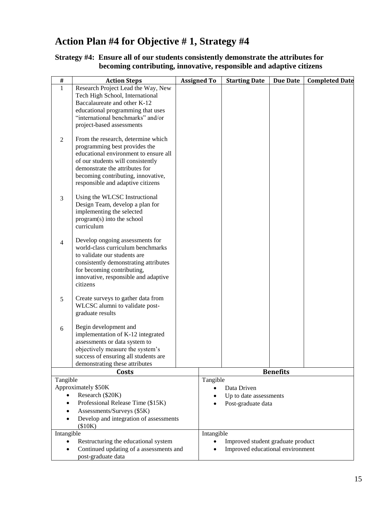## **Action Plan #4 for Objective # 1, Strategy #4**

#### **Strategy #4: Ensure all of our students consistently demonstrate the attributes for becoming contributing, innovative, responsible and adaptive citizens**

| #              | <b>Action Steps</b>                                                    | <b>Assigned To</b> |            | <b>Starting Date</b>              | <b>Due Date</b> | <b>Completed Date</b> |
|----------------|------------------------------------------------------------------------|--------------------|------------|-----------------------------------|-----------------|-----------------------|
| $\mathbf{1}$   | Research Project Lead the Way, New                                     |                    |            |                                   |                 |                       |
|                | Tech High School, International                                        |                    |            |                                   |                 |                       |
|                | Baccalaureate and other K-12                                           |                    |            |                                   |                 |                       |
|                | educational programming that uses                                      |                    |            |                                   |                 |                       |
|                | "international benchmarks" and/or                                      |                    |            |                                   |                 |                       |
|                | project-based assessments                                              |                    |            |                                   |                 |                       |
|                |                                                                        |                    |            |                                   |                 |                       |
| $\overline{2}$ | From the research, determine which                                     |                    |            |                                   |                 |                       |
|                | programming best provides the<br>educational environment to ensure all |                    |            |                                   |                 |                       |
|                | of our students will consistently                                      |                    |            |                                   |                 |                       |
|                | demonstrate the attributes for                                         |                    |            |                                   |                 |                       |
|                | becoming contributing, innovative,                                     |                    |            |                                   |                 |                       |
|                | responsible and adaptive citizens                                      |                    |            |                                   |                 |                       |
|                |                                                                        |                    |            |                                   |                 |                       |
| 3              | Using the WLCSC Instructional                                          |                    |            |                                   |                 |                       |
|                | Design Team, develop a plan for                                        |                    |            |                                   |                 |                       |
|                | implementing the selected                                              |                    |            |                                   |                 |                       |
|                | program(s) into the school<br>curriculum                               |                    |            |                                   |                 |                       |
|                |                                                                        |                    |            |                                   |                 |                       |
| $\overline{4}$ | Develop ongoing assessments for                                        |                    |            |                                   |                 |                       |
|                | world-class curriculum benchmarks<br>to validate our students are      |                    |            |                                   |                 |                       |
|                | consistently demonstrating attributes                                  |                    |            |                                   |                 |                       |
|                | for becoming contributing,                                             |                    |            |                                   |                 |                       |
|                | innovative, responsible and adaptive                                   |                    |            |                                   |                 |                       |
|                | citizens                                                               |                    |            |                                   |                 |                       |
|                |                                                                        |                    |            |                                   |                 |                       |
| $\sqrt{5}$     | Create surveys to gather data from                                     |                    |            |                                   |                 |                       |
|                | WLCSC alumni to validate post-<br>graduate results                     |                    |            |                                   |                 |                       |
|                |                                                                        |                    |            |                                   |                 |                       |
| 6              | Begin development and                                                  |                    |            |                                   |                 |                       |
|                | implementation of K-12 integrated                                      |                    |            |                                   |                 |                       |
|                | assessments or data system to                                          |                    |            |                                   |                 |                       |
|                | objectively measure the system's                                       |                    |            |                                   |                 |                       |
|                | success of ensuring all students are                                   |                    |            |                                   |                 |                       |
|                | demonstrating these attributes                                         |                    |            |                                   |                 |                       |
| Tangible       | Costs                                                                  |                    |            |                                   | <b>Benefits</b> |                       |
|                | Approximately \$50K                                                    |                    | Tangible   | Data Driven                       |                 |                       |
|                | Research (\$20K)                                                       |                    |            | Up to date assessments            |                 |                       |
|                | Professional Release Time (\$15K)                                      |                    |            | Post-graduate data                |                 |                       |
|                | Assessments/Surveys (\$5K)                                             |                    |            |                                   |                 |                       |
|                | Develop and integration of assessments                                 |                    |            |                                   |                 |                       |
|                | (\$10K)                                                                |                    |            |                                   |                 |                       |
| Intangible     |                                                                        |                    | Intangible |                                   |                 |                       |
|                | Restructuring the educational system                                   |                    |            | Improved student graduate product |                 |                       |
|                | Continued updating of a assessments and                                |                    |            | Improved educational environment  |                 |                       |
|                | post-graduate data                                                     |                    |            |                                   |                 |                       |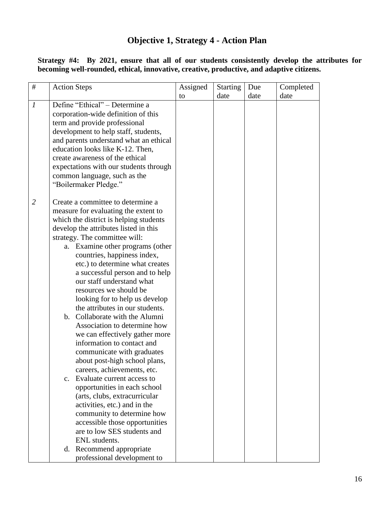## **Objective 1, Strategy 4 - Action Plan**

 **Strategy #4: By 2021, ensure that all of our students consistently develop the attributes for becoming well-rounded, ethical, innovative, creative, productive, and adaptive citizens.** 

| $\#$           | <b>Action Steps</b>                                            | Assigned | <b>Starting</b> | Due  | Completed |
|----------------|----------------------------------------------------------------|----------|-----------------|------|-----------|
|                |                                                                | to       | date            | date | date      |
| 1              | Define "Ethical" – Determine a                                 |          |                 |      |           |
|                | corporation-wide definition of this                            |          |                 |      |           |
|                | term and provide professional                                  |          |                 |      |           |
|                | development to help staff, students,                           |          |                 |      |           |
|                | and parents understand what an ethical                         |          |                 |      |           |
|                | education looks like K-12. Then,                               |          |                 |      |           |
|                | create awareness of the ethical                                |          |                 |      |           |
|                | expectations with our students through                         |          |                 |      |           |
|                | common language, such as the                                   |          |                 |      |           |
|                | "Boilermaker Pledge."                                          |          |                 |      |           |
|                |                                                                |          |                 |      |           |
| $\overline{2}$ | Create a committee to determine a                              |          |                 |      |           |
|                | measure for evaluating the extent to                           |          |                 |      |           |
|                | which the district is helping students                         |          |                 |      |           |
|                | develop the attributes listed in this                          |          |                 |      |           |
|                | strategy. The committee will:                                  |          |                 |      |           |
|                | a. Examine other programs (other                               |          |                 |      |           |
|                | countries, happiness index,                                    |          |                 |      |           |
|                | etc.) to determine what creates                                |          |                 |      |           |
|                | a successful person and to help                                |          |                 |      |           |
|                | our staff understand what                                      |          |                 |      |           |
|                | resources we should be                                         |          |                 |      |           |
|                | looking for to help us develop                                 |          |                 |      |           |
|                | the attributes in our students.                                |          |                 |      |           |
|                | b. Collaborate with the Alumni<br>Association to determine how |          |                 |      |           |
|                | we can effectively gather more                                 |          |                 |      |           |
|                | information to contact and                                     |          |                 |      |           |
|                | communicate with graduates                                     |          |                 |      |           |
|                | about post-high school plans,                                  |          |                 |      |           |
|                | careers, achievements, etc.                                    |          |                 |      |           |
|                | Evaluate current access to<br>$\mathbf{c}$ .                   |          |                 |      |           |
|                | opportunities in each school                                   |          |                 |      |           |
|                | (arts, clubs, extracurricular                                  |          |                 |      |           |
|                | activities, etc.) and in the                                   |          |                 |      |           |
|                | community to determine how                                     |          |                 |      |           |
|                | accessible those opportunities                                 |          |                 |      |           |
|                | are to low SES students and                                    |          |                 |      |           |
|                | ENL students.                                                  |          |                 |      |           |
|                | d. Recommend appropriate                                       |          |                 |      |           |
|                | professional development to                                    |          |                 |      |           |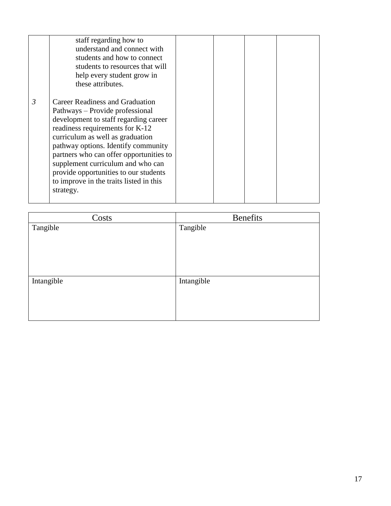|   | staff regarding how to<br>understand and connect with<br>students and how to connect<br>students to resources that will<br>help every student grow in<br>these attributes.                                                                                                                                                                                                                                        |  |  |
|---|-------------------------------------------------------------------------------------------------------------------------------------------------------------------------------------------------------------------------------------------------------------------------------------------------------------------------------------------------------------------------------------------------------------------|--|--|
| 3 | <b>Career Readiness and Graduation</b><br>Pathways – Provide professional<br>development to staff regarding career<br>readiness requirements for K-12<br>curriculum as well as graduation<br>pathway options. Identify community<br>partners who can offer opportunities to<br>supplement curriculum and who can<br>provide opportunities to our students<br>to improve in the traits listed in this<br>strategy. |  |  |

| Costs      | <b>Benefits</b> |
|------------|-----------------|
| Tangible   | Tangible        |
| Intangible | Intangible      |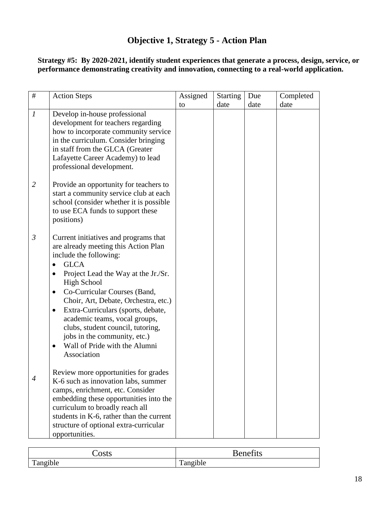## **Objective 1, Strategy 5 - Action Plan**

 **Strategy #5: By 2020-2021, identify student experiences that generate a process, design, service, or performance demonstrating creativity and innovation, connecting to a real-world application.** 

| #                | <b>Action Steps</b>                                                                                                                                                                                                                                                                                                                                                                                                                                                                    | Assigned | <b>Starting</b> | Due  | Completed |
|------------------|----------------------------------------------------------------------------------------------------------------------------------------------------------------------------------------------------------------------------------------------------------------------------------------------------------------------------------------------------------------------------------------------------------------------------------------------------------------------------------------|----------|-----------------|------|-----------|
|                  |                                                                                                                                                                                                                                                                                                                                                                                                                                                                                        | to       | date            | date | date      |
| $\boldsymbol{l}$ | Develop in-house professional<br>development for teachers regarding<br>how to incorporate community service<br>in the curriculum. Consider bringing<br>in staff from the GLCA (Greater<br>Lafayette Career Academy) to lead<br>professional development.                                                                                                                                                                                                                               |          |                 |      |           |
| 2                | Provide an opportunity for teachers to<br>start a community service club at each<br>school (consider whether it is possible<br>to use ECA funds to support these<br>positions)                                                                                                                                                                                                                                                                                                         |          |                 |      |           |
| $\mathfrak{Z}$   | Current initiatives and programs that<br>are already meeting this Action Plan<br>include the following:<br><b>GLCA</b><br>Project Lead the Way at the Jr./Sr.<br><b>High School</b><br>Co-Curricular Courses (Band,<br>$\bullet$<br>Choir, Art, Debate, Orchestra, etc.)<br>Extra-Curriculars (sports, debate,<br>٠<br>academic teams, vocal groups,<br>clubs, student council, tutoring,<br>jobs in the community, etc.)<br>Wall of Pride with the Alumni<br>$\bullet$<br>Association |          |                 |      |           |
| 4                | Review more opportunities for grades<br>K-6 such as innovation labs, summer<br>camps, enrichment, etc. Consider<br>embedding these opportunities into the<br>curriculum to broadly reach all<br>students in K-6, rather than the current<br>structure of optional extra-curricular<br>opportunities.                                                                                                                                                                                   |          |                 |      |           |

| $\sim$ $\sim$ $\sim$ $\sim$<br>JO W | $\sim$<br>'∆n∆<br>---<br>ᅭᄕ<br>$ -$ |
|-------------------------------------|-------------------------------------|
| $\bullet$                           | $\cdot$ $\cdot$                     |
| $\mathbf{r}$                        | $\mathbf{r}$                        |
| Tangible                            | Tangible                            |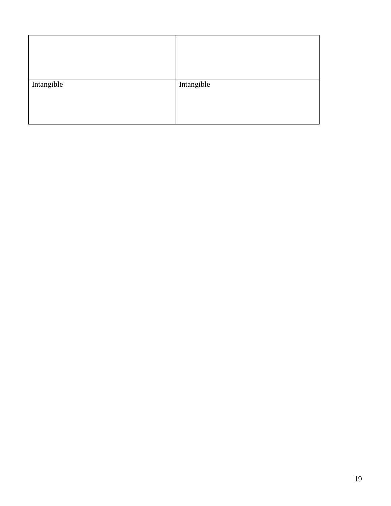| Intangible | Intangible |  |
|------------|------------|--|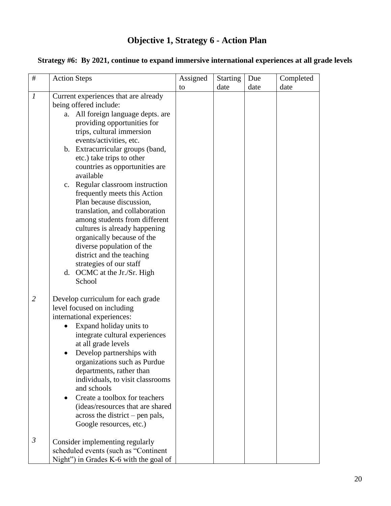## **Objective 1, Strategy 6 - Action Plan**

| $\#$             | <b>Action Steps</b>                                                                                                                                                                                                                                                                                                                                                                                                                                                                                                                                                                                                                                                            | Assigned | <b>Starting</b> | Due  | Completed |
|------------------|--------------------------------------------------------------------------------------------------------------------------------------------------------------------------------------------------------------------------------------------------------------------------------------------------------------------------------------------------------------------------------------------------------------------------------------------------------------------------------------------------------------------------------------------------------------------------------------------------------------------------------------------------------------------------------|----------|-----------------|------|-----------|
|                  |                                                                                                                                                                                                                                                                                                                                                                                                                                                                                                                                                                                                                                                                                | to       | date            | date | date      |
| $\boldsymbol{l}$ | Current experiences that are already<br>being offered include:<br>All foreign language depts. are<br>a.<br>providing opportunities for<br>trips, cultural immersion<br>events/activities, etc.<br>b. Extracurricular groups (band,<br>etc.) take trips to other<br>countries as opportunities are<br>available<br>c. Regular classroom instruction<br>frequently meets this Action<br>Plan because discussion,<br>translation, and collaboration<br>among students from different<br>cultures is already happening<br>organically because of the<br>diverse population of the<br>district and the teaching<br>strategies of our staff<br>d. OCMC at the Jr./Sr. High<br>School |          |                 |      |           |
| $\overline{2}$   | Develop curriculum for each grade<br>level focused on including<br>international experiences:<br>Expand holiday units to<br>integrate cultural experiences<br>at all grade levels<br>Develop partnerships with<br>organizations such as Purdue<br>departments, rather than<br>individuals, to visit classrooms<br>and schools<br>Create a toolbox for teachers<br>(ideas/resources that are shared<br>across the district – pen pals,<br>Google resources, etc.)                                                                                                                                                                                                               |          |                 |      |           |
| $\mathfrak{Z}$   | Consider implementing regularly<br>scheduled events (such as "Continent<br>Night") in Grades K-6 with the goal of                                                                                                                                                                                                                                                                                                                                                                                                                                                                                                                                                              |          |                 |      |           |

#### **Strategy #6: By 2021, continue to expand immersive international experiences at all grade levels**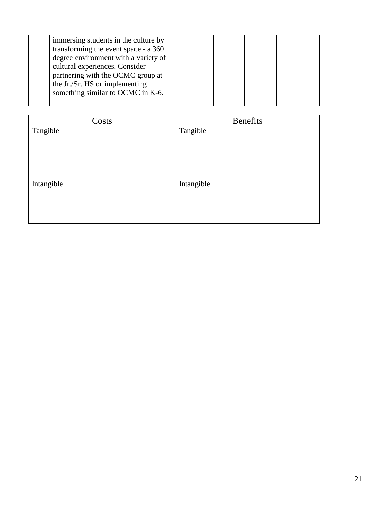| immersing students in the culture by |  |  |
|--------------------------------------|--|--|
| transforming the event space - a 360 |  |  |
| degree environment with a variety of |  |  |
| cultural experiences. Consider       |  |  |
| partnering with the OCMC group at    |  |  |
| the Jr./Sr. HS or implementing       |  |  |
| something similar to OCMC in K-6.    |  |  |
|                                      |  |  |

| Costs      | <b>Benefits</b> |
|------------|-----------------|
| Tangible   | Tangible        |
|            |                 |
|            |                 |
|            |                 |
|            |                 |
|            |                 |
| Intangible | Intangible      |
|            |                 |
|            |                 |
|            |                 |
|            |                 |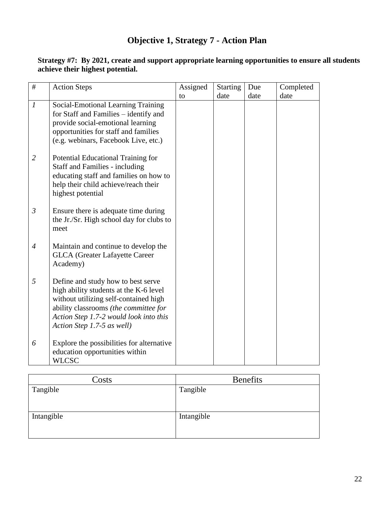## **Objective 1, Strategy 7 - Action Plan**

| #                | <b>Action Steps</b>                                                                                                                                                                                                                    | Assigned | <b>Starting</b> | Due  | Completed |
|------------------|----------------------------------------------------------------------------------------------------------------------------------------------------------------------------------------------------------------------------------------|----------|-----------------|------|-----------|
|                  |                                                                                                                                                                                                                                        | to       | date            | date | date      |
| $\boldsymbol{l}$ | Social-Emotional Learning Training<br>for Staff and Families - identify and<br>provide social-emotional learning<br>opportunities for staff and families<br>(e.g. webinars, Facebook Live, etc.)                                       |          |                 |      |           |
| $\overline{2}$   | Potential Educational Training for<br><b>Staff and Families - including</b><br>educating staff and families on how to<br>help their child achieve/reach their<br>highest potential                                                     |          |                 |      |           |
| $\mathfrak{Z}$   | Ensure there is adequate time during<br>the Jr./Sr. High school day for clubs to<br>meet                                                                                                                                               |          |                 |      |           |
| 4                | Maintain and continue to develop the<br><b>GLCA</b> (Greater Lafayette Career<br>Academy)                                                                                                                                              |          |                 |      |           |
| 5                | Define and study how to best serve<br>high ability students at the K-6 level<br>without utilizing self-contained high<br>ability classrooms (the committee for<br>Action Step 1.7-2 would look into this<br>Action Step 1.7-5 as well) |          |                 |      |           |
| 6                | Explore the possibilities for alternative<br>education opportunities within<br><b>WLCSC</b>                                                                                                                                            |          |                 |      |           |

#### **Strategy #7: By 2021, create and support appropriate learning opportunities to ensure all students achieve their highest potential.**

| Costs      | <b>Benefits</b> |
|------------|-----------------|
| Tangible   | Tangible        |
| Intangible | Intangible      |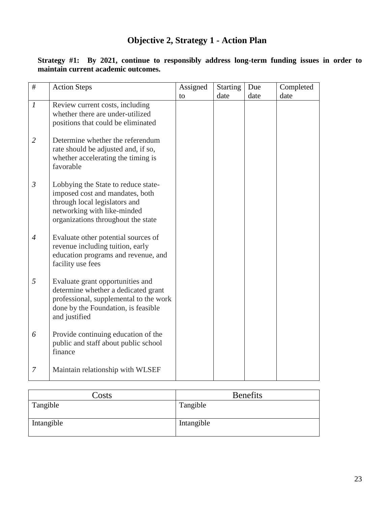## **Objective 2, Strategy 1 - Action Plan**

| #                | <b>Action Steps</b>                                                                                                                                                          | Assigned | <b>Starting</b><br>date | Due<br>date | Completed<br>date |
|------------------|------------------------------------------------------------------------------------------------------------------------------------------------------------------------------|----------|-------------------------|-------------|-------------------|
| $\boldsymbol{l}$ | Review current costs, including<br>whether there are under-utilized<br>positions that could be eliminated                                                                    | to       |                         |             |                   |
| $\overline{2}$   | Determine whether the referendum<br>rate should be adjusted and, if so,<br>whether accelerating the timing is<br>favorable                                                   |          |                         |             |                   |
| $\mathfrak{Z}$   | Lobbying the State to reduce state-<br>imposed cost and mandates, both<br>through local legislators and<br>networking with like-minded<br>organizations throughout the state |          |                         |             |                   |
| $\overline{4}$   | Evaluate other potential sources of<br>revenue including tuition, early<br>education programs and revenue, and<br>facility use fees                                          |          |                         |             |                   |
| 5                | Evaluate grant opportunities and<br>determine whether a dedicated grant<br>professional, supplemental to the work<br>done by the Foundation, is feasible<br>and justified    |          |                         |             |                   |
| 6                | Provide continuing education of the<br>public and staff about public school<br>finance                                                                                       |          |                         |             |                   |
| 7                | Maintain relationship with WLSEF                                                                                                                                             |          |                         |             |                   |

 **Strategy #1: By 2021, continue to responsibly address long-term funding issues in order to maintain current academic outcomes.** 

| Costs      | <b>Benefits</b> |
|------------|-----------------|
| Tangible   | Tangible        |
| Intangible | Intangible      |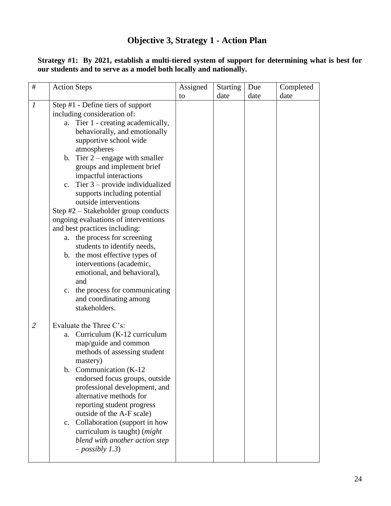## **Objective 3, Strategy 1 - Action Plan**

 **Strategy #1: By 2021, establish a multi-tiered system of support for determining what is best for our students and to serve as a model both locally and nationally.** 

| $\#$             | <b>Action Steps</b>                                                                                                                                                                                                                                                                                                                                                                                                                                                                                                                                                                                                                                                                                                                                           | Assigned | <b>Starting</b> | Due  | Completed |
|------------------|---------------------------------------------------------------------------------------------------------------------------------------------------------------------------------------------------------------------------------------------------------------------------------------------------------------------------------------------------------------------------------------------------------------------------------------------------------------------------------------------------------------------------------------------------------------------------------------------------------------------------------------------------------------------------------------------------------------------------------------------------------------|----------|-----------------|------|-----------|
|                  |                                                                                                                                                                                                                                                                                                                                                                                                                                                                                                                                                                                                                                                                                                                                                               | to       | date            | date | date      |
| $\boldsymbol{l}$ | Step #1 - Define tiers of support<br>including consideration of:<br>a. Tier 1 - creating academically,<br>behaviorally, and emotionally<br>supportive school wide<br>atmospheres<br>b. Tier $2$ – engage with smaller<br>groups and implement brief<br>impactful interactions<br>c. Tier $3$ – provide individualized<br>supports including potential<br>outside interventions<br>Step #2 - Stakeholder group conducts<br>ongoing evaluations of interventions<br>and best practices including:<br>a. the process for screening<br>students to identify needs,<br>b. the most effective types of<br>interventions (academic,<br>emotional, and behavioral),<br>and<br>the process for communicating<br>$c_{\cdot}$<br>and coordinating among<br>stakeholders. |          |                 |      |           |
| $\overline{2}$   | Evaluate the Three C's:<br>Curriculum (K-12 curriculum<br>a.<br>map/guide and common<br>methods of assessing student<br>mastery)<br>b. Communication (K-12<br>endorsed focus groups, outside<br>professional development, and<br>alternative methods for<br>reporting student progress<br>outside of the A-F scale)<br>c. Collaboration (support in how<br>curriculum is taught) ( <i>might</i><br>blend with another action step<br>$-posibly 1.3)$                                                                                                                                                                                                                                                                                                          |          |                 |      |           |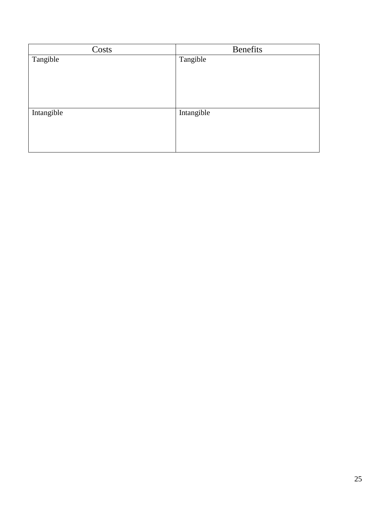| Costs      | <b>Benefits</b> |
|------------|-----------------|
| Tangible   | Tangible        |
|            |                 |
|            |                 |
|            |                 |
|            |                 |
| Intangible | Intangible      |
|            |                 |
|            |                 |
|            |                 |
|            |                 |